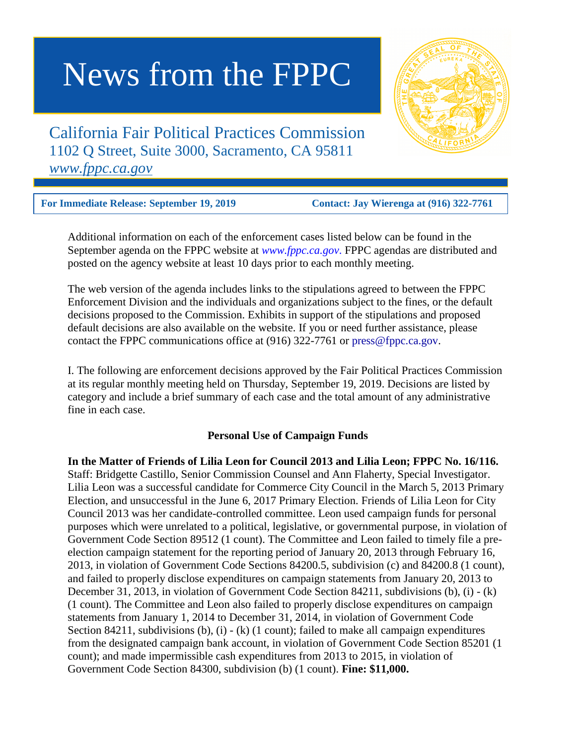# News from the FPPC

California Fair Political Practices Commission 1102 Q Street, Suite 3000, Sacramento, CA 95811 *www.fppc.ca.gov*

**For Immediate Release: September 19, 2019 Contact: Jay Wierenga at (916) 322-7761** 

Additional information on each of the enforcement cases listed below can be found in the September agenda on the FPPC website at *[www.fppc.ca.gov](http://www.fppc.ca.gov/)*. FPPC agendas are distributed and posted on the agency website at least 10 days prior to each monthly meeting.

The web version of the agenda includes links to the stipulations agreed to between the FPPC Enforcement Division and the individuals and organizations subject to the fines, or the default decisions proposed to the Commission. Exhibits in support of the stipulations and proposed default decisions are also available on the website. If you or need further assistance, please contact the FPPC communications office at (916) 322-7761 or [press@fppc.ca.gov.](mailto:press@fppc.ca.gov)

I. The following are enforcement decisions approved by the Fair Political Practices Commission at its regular monthly meeting held on Thursday, September 19, 2019. Decisions are listed by category and include a brief summary of each case and the total amount of any administrative fine in each case.

## **Personal Use of Campaign Funds**

**In the Matter of Friends of Lilia Leon for Council 2013 and Lilia Leon; FPPC No. 16/116.** Staff: Bridgette Castillo, Senior Commission Counsel and Ann Flaherty, Special Investigator. Lilia Leon was a successful candidate for Commerce City Council in the March 5, 2013 Primary Election, and unsuccessful in the June 6, 2017 Primary Election. Friends of Lilia Leon for City Council 2013 was her candidate-controlled committee. Leon used campaign funds for personal purposes which were unrelated to a political, legislative, or governmental purpose, in violation of Government Code Section 89512 (1 count). The Committee and Leon failed to timely file a preelection campaign statement for the reporting period of January 20, 2013 through February 16, 2013, in violation of Government Code Sections 84200.5, subdivision (c) and 84200.8 (1 count), and failed to properly disclose expenditures on campaign statements from January 20, 2013 to December 31, 2013, in violation of Government Code Section 84211, subdivisions (b), (i) - (k) (1 count). The Committee and Leon also failed to properly disclose expenditures on campaign statements from January 1, 2014 to December 31, 2014, in violation of Government Code Section 84211, subdivisions  $(b)$ ,  $(i)$  -  $(k)$   $(1$  count); failed to make all campaign expenditures from the designated campaign bank account, in violation of Government Code Section 85201 (1 count); and made impermissible cash expenditures from 2013 to 2015, in violation of Government Code Section 84300, subdivision (b) (1 count). **Fine: \$11,000.**

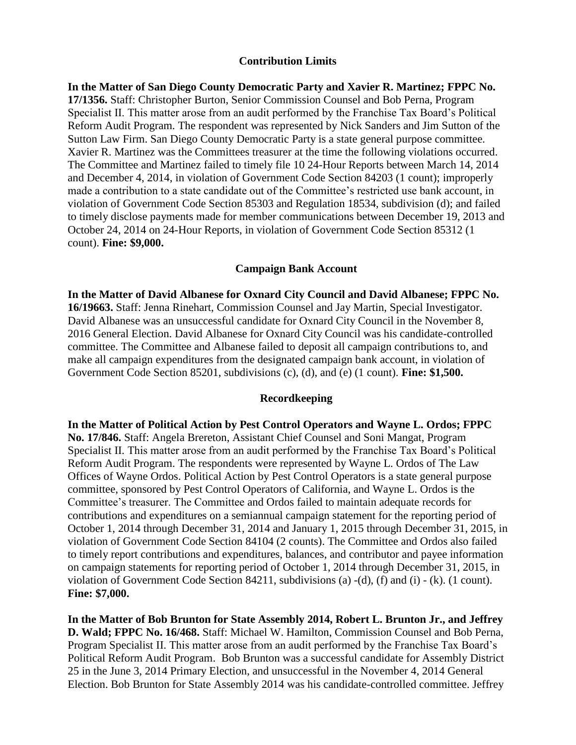#### **Contribution Limits**

**In the Matter of San Diego County Democratic Party and Xavier R. Martinez; FPPC No. 17/1356.** Staff: Christopher Burton, Senior Commission Counsel and Bob Perna, Program Specialist II. This matter arose from an audit performed by the Franchise Tax Board's Political Reform Audit Program. The respondent was represented by Nick Sanders and Jim Sutton of the Sutton Law Firm. San Diego County Democratic Party is a state general purpose committee. Xavier R. Martinez was the Committees treasurer at the time the following violations occurred. The Committee and Martinez failed to timely file 10 24-Hour Reports between March 14, 2014 and December 4, 2014, in violation of Government Code Section 84203 (1 count); improperly made a contribution to a state candidate out of the Committee's restricted use bank account, in violation of Government Code Section 85303 and Regulation 18534, subdivision (d); and failed to timely disclose payments made for member communications between December 19, 2013 and October 24, 2014 on 24-Hour Reports, in violation of Government Code Section 85312 (1 count). **Fine: \$9,000.**

#### **Campaign Bank Account**

**In the Matter of David Albanese for Oxnard City Council and David Albanese; FPPC No. 16/19663.** Staff: Jenna Rinehart, Commission Counsel and Jay Martin, Special Investigator. David Albanese was an unsuccessful candidate for Oxnard City Council in the November 8, 2016 General Election. David Albanese for Oxnard City Council was his candidate-controlled committee. The Committee and Albanese failed to deposit all campaign contributions to, and make all campaign expenditures from the designated campaign bank account, in violation of Government Code Section 85201, subdivisions (c), (d), and (e) (1 count). **Fine: \$1,500.**

### **Recordkeeping**

**In the Matter of Political Action by Pest Control Operators and Wayne L. Ordos; FPPC No. 17/846.** Staff: Angela Brereton, Assistant Chief Counsel and Soni Mangat, Program Specialist II. This matter arose from an audit performed by the Franchise Tax Board's Political Reform Audit Program. The respondents were represented by Wayne L. Ordos of The Law Offices of Wayne Ordos. Political Action by Pest Control Operators is a state general purpose committee, sponsored by Pest Control Operators of California, and Wayne L. Ordos is the Committee's treasurer. The Committee and Ordos failed to maintain adequate records for contributions and expenditures on a semiannual campaign statement for the reporting period of October 1, 2014 through December 31, 2014 and January 1, 2015 through December 31, 2015, in violation of Government Code Section 84104 (2 counts). The Committee and Ordos also failed to timely report contributions and expenditures, balances, and contributor and payee information on campaign statements for reporting period of October 1, 2014 through December 31, 2015, in violation of Government Code Section 84211, subdivisions (a) -(d), (f) and (i) - (k). (1 count). **Fine: \$7,000.**

**In the Matter of Bob Brunton for State Assembly 2014, Robert L. Brunton Jr., and Jeffrey D. Wald; FPPC No. 16/468.** Staff: Michael W. Hamilton, Commission Counsel and Bob Perna, Program Specialist II. This matter arose from an audit performed by the Franchise Tax Board's Political Reform Audit Program. Bob Brunton was a successful candidate for Assembly District 25 in the June 3, 2014 Primary Election, and unsuccessful in the November 4, 2014 General Election. Bob Brunton for State Assembly 2014 was his candidate-controlled committee. Jeffrey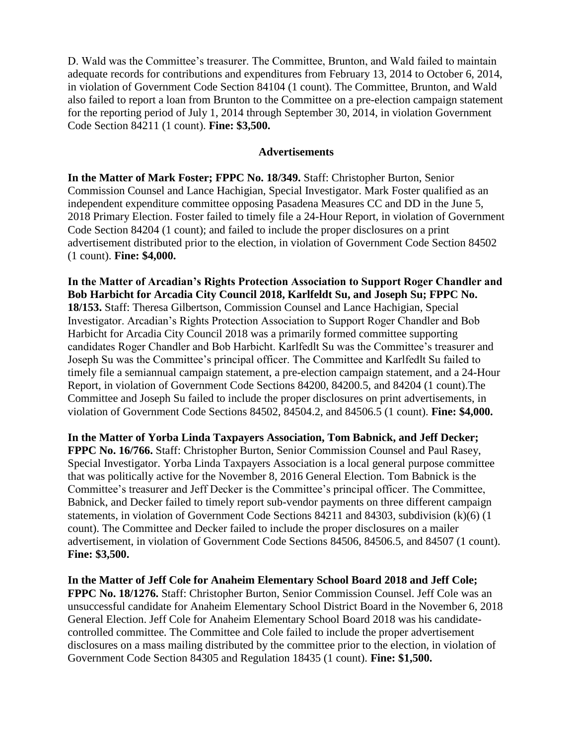D. Wald was the Committee's treasurer. The Committee, Brunton, and Wald failed to maintain adequate records for contributions and expenditures from February 13, 2014 to October 6, 2014, in violation of Government Code Section 84104 (1 count). The Committee, Brunton, and Wald also failed to report a loan from Brunton to the Committee on a pre-election campaign statement for the reporting period of July 1, 2014 through September 30, 2014, in violation Government Code Section 84211 (1 count). **Fine: \$3,500.** 

## **Advertisements**

**In the Matter of Mark Foster; FPPC No. 18/349.** Staff: Christopher Burton, Senior Commission Counsel and Lance Hachigian, Special Investigator. Mark Foster qualified as an independent expenditure committee opposing Pasadena Measures CC and DD in the June 5, 2018 Primary Election. Foster failed to timely file a 24-Hour Report, in violation of Government Code Section 84204 (1 count); and failed to include the proper disclosures on a print advertisement distributed prior to the election, in violation of Government Code Section 84502 (1 count). **Fine: \$4,000.**

**In the Matter of Arcadian's Rights Protection Association to Support Roger Chandler and Bob Harbicht for Arcadia City Council 2018, Karlfeldt Su, and Joseph Su; FPPC No. 18/153.** Staff: Theresa Gilbertson, Commission Counsel and Lance Hachigian, Special Investigator. Arcadian's Rights Protection Association to Support Roger Chandler and Bob Harbicht for Arcadia City Council 2018 was a primarily formed committee supporting candidates Roger Chandler and Bob Harbicht. Karlfedlt Su was the Committee's treasurer and Joseph Su was the Committee's principal officer. The Committee and Karlfedlt Su failed to timely file a semiannual campaign statement, a pre-election campaign statement, and a 24-Hour Report, in violation of Government Code Sections 84200, 84200.5, and 84204 (1 count).The Committee and Joseph Su failed to include the proper disclosures on print advertisements, in violation of Government Code Sections 84502, 84504.2, and 84506.5 (1 count). **Fine: \$4,000.**

**In the Matter of Yorba Linda Taxpayers Association, Tom Babnick, and Jeff Decker; FPPC No. 16/766.** Staff: Christopher Burton, Senior Commission Counsel and Paul Rasey, Special Investigator. Yorba Linda Taxpayers Association is a local general purpose committee that was politically active for the November 8, 2016 General Election. Tom Babnick is the Committee's treasurer and Jeff Decker is the Committee's principal officer. The Committee, Babnick, and Decker failed to timely report sub-vendor payments on three different campaign statements, in violation of Government Code Sections 84211 and 84303, subdivision (k)(6) (1 count). The Committee and Decker failed to include the proper disclosures on a mailer advertisement, in violation of Government Code Sections 84506, 84506.5, and 84507 (1 count). **Fine: \$3,500.**

**In the Matter of Jeff Cole for Anaheim Elementary School Board 2018 and Jeff Cole; FPPC No. 18/1276.** Staff: Christopher Burton, Senior Commission Counsel. Jeff Cole was an unsuccessful candidate for Anaheim Elementary School District Board in the November 6, 2018 General Election. Jeff Cole for Anaheim Elementary School Board 2018 was his candidatecontrolled committee. The Committee and Cole failed to include the proper advertisement disclosures on a mass mailing distributed by the committee prior to the election, in violation of Government Code Section 84305 and Regulation 18435 (1 count). **Fine: \$1,500.**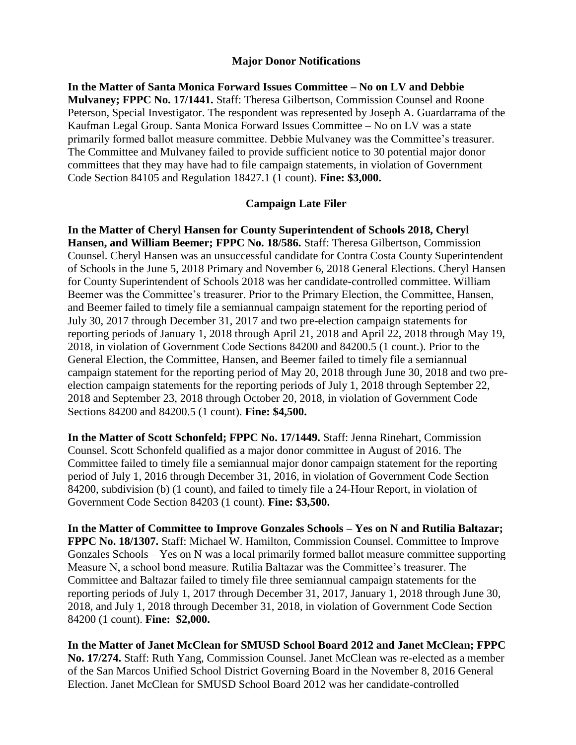### **Major Donor Notifications**

**In the Matter of Santa Monica Forward Issues Committee – No on LV and Debbie Mulvaney; FPPC No. 17/1441.** Staff: Theresa Gilbertson, Commission Counsel and Roone Peterson, Special Investigator. The respondent was represented by Joseph A. Guardarrama of the Kaufman Legal Group. Santa Monica Forward Issues Committee – No on LV was a state primarily formed ballot measure committee. Debbie Mulvaney was the Committee's treasurer. The Committee and Mulvaney failed to provide sufficient notice to 30 potential major donor committees that they may have had to file campaign statements, in violation of Government Code Section 84105 and Regulation 18427.1 (1 count). **Fine: \$3,000.**

#### **Campaign Late Filer**

**In the Matter of Cheryl Hansen for County Superintendent of Schools 2018, Cheryl Hansen, and William Beemer; FPPC No. 18/586.** Staff: Theresa Gilbertson, Commission Counsel. Cheryl Hansen was an unsuccessful candidate for Contra Costa County Superintendent of Schools in the June 5, 2018 Primary and November 6, 2018 General Elections. Cheryl Hansen for County Superintendent of Schools 2018 was her candidate-controlled committee. William Beemer was the Committee's treasurer. Prior to the Primary Election, the Committee, Hansen, and Beemer failed to timely file a semiannual campaign statement for the reporting period of July 30, 2017 through December 31, 2017 and two pre-election campaign statements for reporting periods of January 1, 2018 through April 21, 2018 and April 22, 2018 through May 19, 2018, in violation of Government Code Sections 84200 and 84200.5 (1 count.). Prior to the General Election, the Committee, Hansen, and Beemer failed to timely file a semiannual campaign statement for the reporting period of May 20, 2018 through June 30, 2018 and two preelection campaign statements for the reporting periods of July 1, 2018 through September 22, 2018 and September 23, 2018 through October 20, 2018, in violation of Government Code Sections 84200 and 84200.5 (1 count). **Fine: \$4,500.**

**In the Matter of Scott Schonfeld; FPPC No. 17/1449.** Staff: Jenna Rinehart, Commission Counsel. Scott Schonfeld qualified as a major donor committee in August of 2016. The Committee failed to timely file a semiannual major donor campaign statement for the reporting period of July 1, 2016 through December 31, 2016, in violation of Government Code Section 84200, subdivision (b) (1 count), and failed to timely file a 24-Hour Report, in violation of Government Code Section 84203 (1 count). **Fine: \$3,500.**

**In the Matter of Committee to Improve Gonzales Schools – Yes on N and Rutilia Baltazar; FPPC No. 18/1307.** Staff: Michael W. Hamilton, Commission Counsel. Committee to Improve Gonzales Schools – Yes on N was a local primarily formed ballot measure committee supporting Measure N, a school bond measure. Rutilia Baltazar was the Committee's treasurer. The Committee and Baltazar failed to timely file three semiannual campaign statements for the reporting periods of July 1, 2017 through December 31, 2017, January 1, 2018 through June 30, 2018, and July 1, 2018 through December 31, 2018, in violation of Government Code Section 84200 (1 count). **Fine: \$2,000.** 

**In the Matter of Janet McClean for SMUSD School Board 2012 and Janet McClean; FPPC No. 17/274.** Staff: Ruth Yang, Commission Counsel. Janet McClean was re-elected as a member of the San Marcos Unified School District Governing Board in the November 8, 2016 General Election. Janet McClean for SMUSD School Board 2012 was her candidate-controlled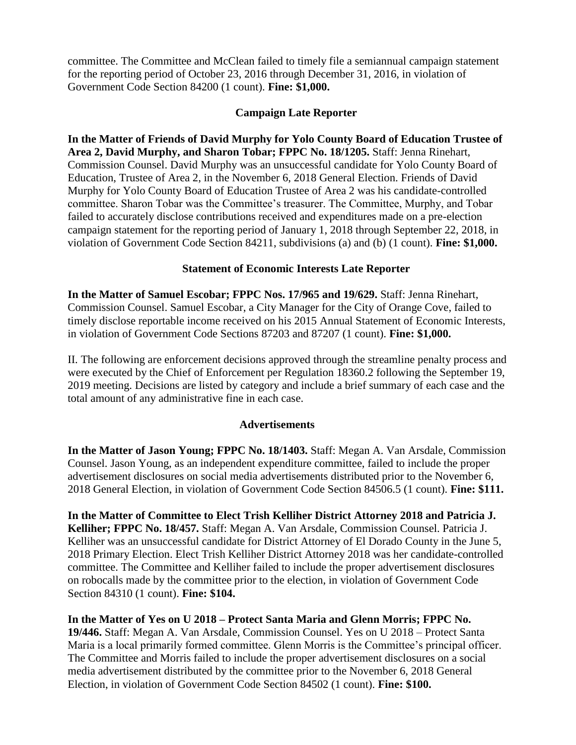committee. The Committee and McClean failed to timely file a semiannual campaign statement for the reporting period of October 23, 2016 through December 31, 2016, in violation of Government Code Section 84200 (1 count). **Fine: \$1,000.**

## **Campaign Late Reporter**

**In the Matter of Friends of David Murphy for Yolo County Board of Education Trustee of Area 2, David Murphy, and Sharon Tobar; FPPC No. 18/1205.** Staff: Jenna Rinehart, Commission Counsel. David Murphy was an unsuccessful candidate for Yolo County Board of Education, Trustee of Area 2, in the November 6, 2018 General Election. Friends of David Murphy for Yolo County Board of Education Trustee of Area 2 was his candidate-controlled committee. Sharon Tobar was the Committee's treasurer. The Committee, Murphy, and Tobar failed to accurately disclose contributions received and expenditures made on a pre-election campaign statement for the reporting period of January 1, 2018 through September 22, 2018, in violation of Government Code Section 84211, subdivisions (a) and (b) (1 count). **Fine: \$1,000.**

# **Statement of Economic Interests Late Reporter**

**In the Matter of Samuel Escobar; FPPC Nos. 17/965 and 19/629.** Staff: Jenna Rinehart, Commission Counsel. Samuel Escobar, a City Manager for the City of Orange Cove, failed to timely disclose reportable income received on his 2015 Annual Statement of Economic Interests, in violation of Government Code Sections 87203 and 87207 (1 count). **Fine: \$1,000.** 

II. The following are enforcement decisions approved through the streamline penalty process and were executed by the Chief of Enforcement per Regulation 18360.2 following the September 19, 2019 meeting. Decisions are listed by category and include a brief summary of each case and the total amount of any administrative fine in each case.

# **Advertisements**

**In the Matter of Jason Young; FPPC No. 18/1403.** Staff: Megan A. Van Arsdale, Commission Counsel. Jason Young, as an independent expenditure committee, failed to include the proper advertisement disclosures on social media advertisements distributed prior to the November 6, 2018 General Election, in violation of Government Code Section 84506.5 (1 count). **Fine: \$111.**

**In the Matter of Committee to Elect Trish Kelliher District Attorney 2018 and Patricia J. Kelliher; FPPC No. 18/457.** Staff: Megan A. Van Arsdale, Commission Counsel. Patricia J. Kelliher was an unsuccessful candidate for District Attorney of El Dorado County in the June 5, 2018 Primary Election. Elect Trish Kelliher District Attorney 2018 was her candidate-controlled committee. The Committee and Kelliher failed to include the proper advertisement disclosures on robocalls made by the committee prior to the election, in violation of Government Code Section 84310 (1 count). **Fine: \$104.** 

**In the Matter of Yes on U 2018 – Protect Santa Maria and Glenn Morris; FPPC No. 19/446.** Staff: Megan A. Van Arsdale, Commission Counsel. Yes on U 2018 – Protect Santa Maria is a local primarily formed committee. Glenn Morris is the Committee's principal officer. The Committee and Morris failed to include the proper advertisement disclosures on a social media advertisement distributed by the committee prior to the November 6, 2018 General Election, in violation of Government Code Section 84502 (1 count). **Fine: \$100.**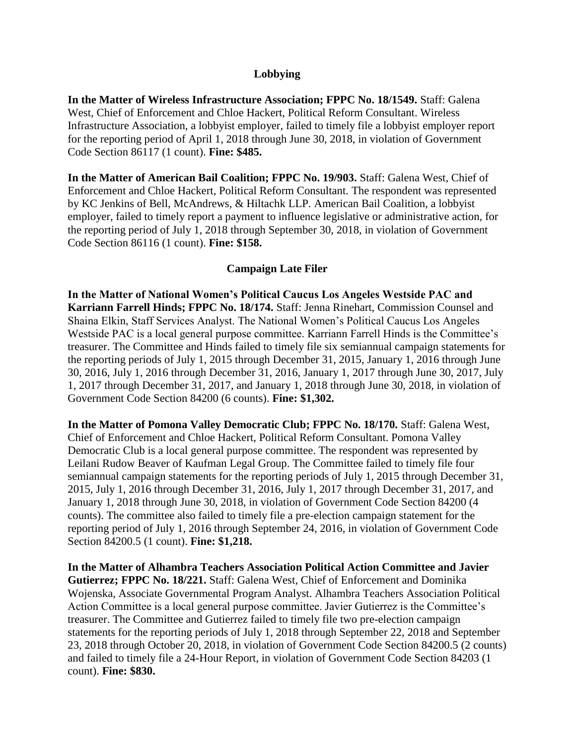## **Lobbying**

**In the Matter of Wireless Infrastructure Association; FPPC No. 18/1549.** Staff: Galena West, Chief of Enforcement and Chloe Hackert, Political Reform Consultant. Wireless Infrastructure Association, a lobbyist employer, failed to timely file a lobbyist employer report for the reporting period of April 1, 2018 through June 30, 2018, in violation of Government Code Section 86117 (1 count). **Fine: \$485.** 

**In the Matter of American Bail Coalition; FPPC No. 19/903.** Staff: Galena West, Chief of Enforcement and Chloe Hackert, Political Reform Consultant. The respondent was represented by KC Jenkins of Bell, McAndrews, & Hiltachk LLP. American Bail Coalition, a lobbyist employer, failed to timely report a payment to influence legislative or administrative action, for the reporting period of July 1, 2018 through September 30, 2018, in violation of Government Code Section 86116 (1 count). **Fine: \$158.** 

### **Campaign Late Filer**

**In the Matter of National Women's Political Caucus Los Angeles Westside PAC and Karriann Farrell Hinds; FPPC No. 18/174.** Staff: Jenna Rinehart, Commission Counsel and Shaina Elkin, Staff Services Analyst. The National Women's Political Caucus Los Angeles Westside PAC is a local general purpose committee. Karriann Farrell Hinds is the Committee's treasurer. The Committee and Hinds failed to timely file six semiannual campaign statements for the reporting periods of July 1, 2015 through December 31, 2015, January 1, 2016 through June 30, 2016, July 1, 2016 through December 31, 2016, January 1, 2017 through June 30, 2017, July 1, 2017 through December 31, 2017, and January 1, 2018 through June 30, 2018, in violation of Government Code Section 84200 (6 counts). **Fine: \$1,302.** 

**In the Matter of Pomona Valley Democratic Club; FPPC No. 18/170.** Staff: Galena West, Chief of Enforcement and Chloe Hackert, Political Reform Consultant. Pomona Valley Democratic Club is a local general purpose committee. The respondent was represented by Leilani Rudow Beaver of Kaufman Legal Group. The Committee failed to timely file four semiannual campaign statements for the reporting periods of July 1, 2015 through December 31, 2015, July 1, 2016 through December 31, 2016, July 1, 2017 through December 31, 2017, and January 1, 2018 through June 30, 2018, in violation of Government Code Section 84200 (4 counts). The committee also failed to timely file a pre-election campaign statement for the reporting period of July 1, 2016 through September 24, 2016, in violation of Government Code Section 84200.5 (1 count). **Fine: \$1,218.** 

**In the Matter of Alhambra Teachers Association Political Action Committee and Javier Gutierrez; FPPC No. 18/221.** Staff: Galena West, Chief of Enforcement and Dominika Wojenska, Associate Governmental Program Analyst. Alhambra Teachers Association Political Action Committee is a local general purpose committee. Javier Gutierrez is the Committee's treasurer. The Committee and Gutierrez failed to timely file two pre-election campaign statements for the reporting periods of July 1, 2018 through September 22, 2018 and September 23, 2018 through October 20, 2018, in violation of Government Code Section 84200.5 (2 counts) and failed to timely file a 24-Hour Report, in violation of Government Code Section 84203 (1 count). **Fine: \$830.**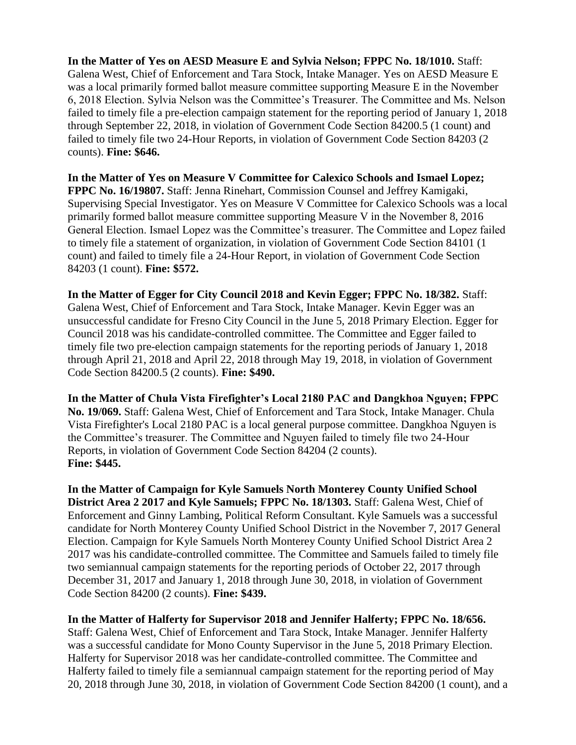**In the Matter of Yes on AESD Measure E and Sylvia Nelson; FPPC No. 18/1010.** Staff: Galena West, Chief of Enforcement and Tara Stock, Intake Manager. Yes on AESD Measure E was a local primarily formed ballot measure committee supporting Measure E in the November 6, 2018 Election. Sylvia Nelson was the Committee's Treasurer. The Committee and Ms. Nelson failed to timely file a pre-election campaign statement for the reporting period of January 1, 2018 through September 22, 2018, in violation of Government Code Section 84200.5 (1 count) and failed to timely file two 24-Hour Reports, in violation of Government Code Section 84203 (2 counts). **Fine: \$646.**

**In the Matter of Yes on Measure V Committee for Calexico Schools and Ismael Lopez; FPPC No. 16/19807.** Staff: Jenna Rinehart, Commission Counsel and Jeffrey Kamigaki, Supervising Special Investigator. Yes on Measure V Committee for Calexico Schools was a local primarily formed ballot measure committee supporting Measure V in the November 8, 2016 General Election. Ismael Lopez was the Committee's treasurer. The Committee and Lopez failed to timely file a statement of organization, in violation of Government Code Section 84101 (1 count) and failed to timely file a 24-Hour Report, in violation of Government Code Section 84203 (1 count). **Fine: \$572.**

**In the Matter of Egger for City Council 2018 and Kevin Egger; FPPC No. 18/382.** Staff: Galena West, Chief of Enforcement and Tara Stock, Intake Manager. Kevin Egger was an unsuccessful candidate for Fresno City Council in the June 5, 2018 Primary Election. Egger for Council 2018 was his candidate-controlled committee. The Committee and Egger failed to timely file two pre-election campaign statements for the reporting periods of January 1, 2018 through April 21, 2018 and April 22, 2018 through May 19, 2018, in violation of Government Code Section 84200.5 (2 counts). **Fine: \$490.**

**In the Matter of Chula Vista Firefighter's Local 2180 PAC and Dangkhoa Nguyen; FPPC No. 19/069.** Staff: Galena West, Chief of Enforcement and Tara Stock, Intake Manager. Chula Vista Firefighter's Local 2180 PAC is a local general purpose committee. Dangkhoa Nguyen is the Committee's treasurer. The Committee and Nguyen failed to timely file two 24-Hour Reports, in violation of Government Code Section 84204 (2 counts). **Fine: \$445.**

**In the Matter of Campaign for Kyle Samuels North Monterey County Unified School District Area 2 2017 and Kyle Samuels; FPPC No. 18/1303.** Staff: Galena West, Chief of Enforcement and Ginny Lambing, Political Reform Consultant. Kyle Samuels was a successful candidate for North Monterey County Unified School District in the November 7, 2017 General Election. Campaign for Kyle Samuels North Monterey County Unified School District Area 2 2017 was his candidate-controlled committee. The Committee and Samuels failed to timely file two semiannual campaign statements for the reporting periods of October 22, 2017 through December 31, 2017 and January 1, 2018 through June 30, 2018, in violation of Government Code Section 84200 (2 counts). **Fine: \$439.**

**In the Matter of Halferty for Supervisor 2018 and Jennifer Halferty; FPPC No. 18/656.** Staff: Galena West, Chief of Enforcement and Tara Stock, Intake Manager. Jennifer Halferty was a successful candidate for Mono County Supervisor in the June 5, 2018 Primary Election. Halferty for Supervisor 2018 was her candidate-controlled committee. The Committee and Halferty failed to timely file a semiannual campaign statement for the reporting period of May 20, 2018 through June 30, 2018, in violation of Government Code Section 84200 (1 count), and a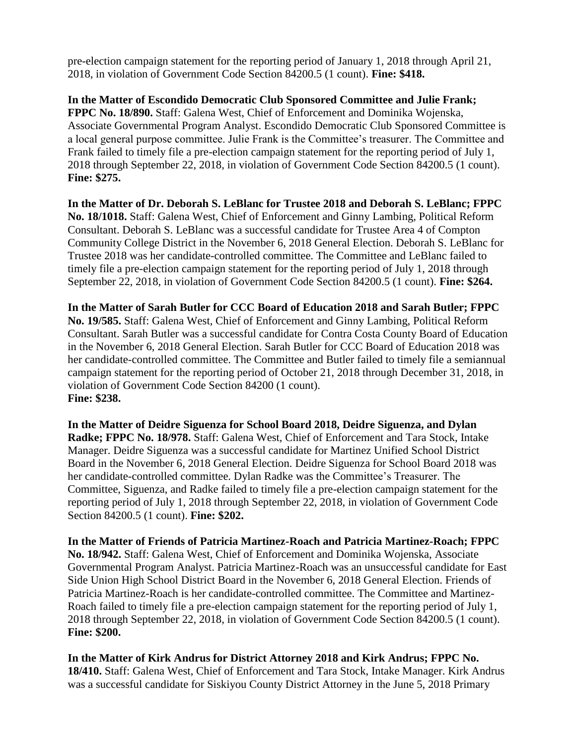pre-election campaign statement for the reporting period of January 1, 2018 through April 21, 2018, in violation of Government Code Section 84200.5 (1 count). **Fine: \$418.**

**In the Matter of Escondido Democratic Club Sponsored Committee and Julie Frank; FPPC No. 18/890.** Staff: Galena West, Chief of Enforcement and Dominika Wojenska, Associate Governmental Program Analyst. Escondido Democratic Club Sponsored Committee is a local general purpose committee. Julie Frank is the Committee's treasurer. The Committee and Frank failed to timely file a pre-election campaign statement for the reporting period of July 1, 2018 through September 22, 2018, in violation of Government Code Section 84200.5 (1 count). **Fine: \$275.** 

**In the Matter of Dr. Deborah S. LeBlanc for Trustee 2018 and Deborah S. LeBlanc; FPPC No. 18/1018.** Staff: Galena West, Chief of Enforcement and Ginny Lambing, Political Reform Consultant. Deborah S. LeBlanc was a successful candidate for Trustee Area 4 of Compton Community College District in the November 6, 2018 General Election. Deborah S. LeBlanc for Trustee 2018 was her candidate-controlled committee. The Committee and LeBlanc failed to timely file a pre-election campaign statement for the reporting period of July 1, 2018 through September 22, 2018, in violation of Government Code Section 84200.5 (1 count). **Fine: \$264.**

**In the Matter of Sarah Butler for CCC Board of Education 2018 and Sarah Butler; FPPC No. 19/585.** Staff: Galena West, Chief of Enforcement and Ginny Lambing, Political Reform Consultant. Sarah Butler was a successful candidate for Contra Costa County Board of Education in the November 6, 2018 General Election. Sarah Butler for CCC Board of Education 2018 was her candidate-controlled committee. The Committee and Butler failed to timely file a semiannual campaign statement for the reporting period of October 21, 2018 through December 31, 2018, in violation of Government Code Section 84200 (1 count). **Fine: \$238.** 

**In the Matter of Deidre Siguenza for School Board 2018, Deidre Siguenza, and Dylan Radke; FPPC No. 18/978.** Staff: Galena West, Chief of Enforcement and Tara Stock, Intake Manager. Deidre Siguenza was a successful candidate for Martinez Unified School District Board in the November 6, 2018 General Election. Deidre Siguenza for School Board 2018 was her candidate-controlled committee. Dylan Radke was the Committee's Treasurer. The Committee, Siguenza, and Radke failed to timely file a pre-election campaign statement for the reporting period of July 1, 2018 through September 22, 2018, in violation of Government Code Section 84200.5 (1 count). **Fine: \$202.**

**In the Matter of Friends of Patricia Martinez-Roach and Patricia Martinez-Roach; FPPC No. 18/942.** Staff: Galena West, Chief of Enforcement and Dominika Wojenska, Associate Governmental Program Analyst. Patricia Martinez-Roach was an unsuccessful candidate for East Side Union High School District Board in the November 6, 2018 General Election. Friends of Patricia Martinez-Roach is her candidate-controlled committee. The Committee and Martinez-Roach failed to timely file a pre-election campaign statement for the reporting period of July 1, 2018 through September 22, 2018, in violation of Government Code Section 84200.5 (1 count). **Fine: \$200.** 

**In the Matter of Kirk Andrus for District Attorney 2018 and Kirk Andrus; FPPC No. 18/410.** Staff: Galena West, Chief of Enforcement and Tara Stock, Intake Manager. Kirk Andrus was a successful candidate for Siskiyou County District Attorney in the June 5, 2018 Primary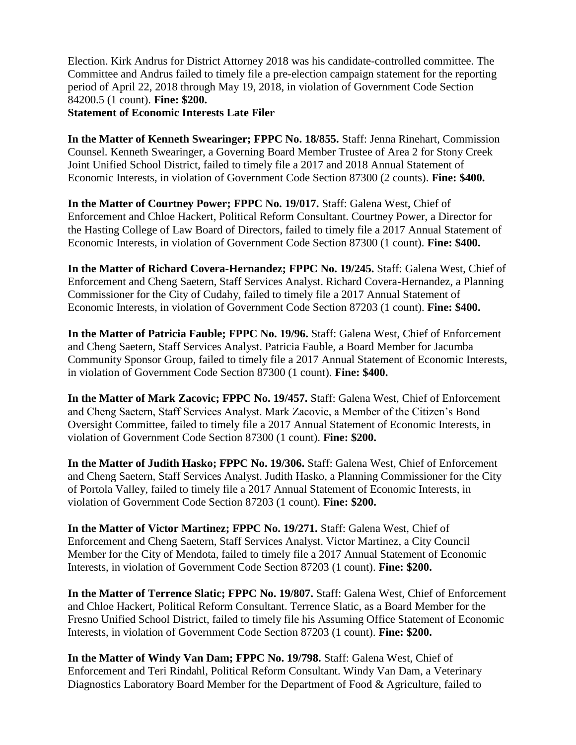Election. Kirk Andrus for District Attorney 2018 was his candidate-controlled committee. The Committee and Andrus failed to timely file a pre-election campaign statement for the reporting period of April 22, 2018 through May 19, 2018, in violation of Government Code Section 84200.5 (1 count). **Fine: \$200.**

## **Statement of Economic Interests Late Filer**

**In the Matter of Kenneth Swearinger; FPPC No. 18/855.** Staff: Jenna Rinehart, Commission Counsel. Kenneth Swearinger, a Governing Board Member Trustee of Area 2 for Stony Creek Joint Unified School District, failed to timely file a 2017 and 2018 Annual Statement of Economic Interests, in violation of Government Code Section 87300 (2 counts). **Fine: \$400.**

**In the Matter of Courtney Power; FPPC No. 19/017.** Staff: Galena West, Chief of Enforcement and Chloe Hackert, Political Reform Consultant. Courtney Power, a Director for the Hasting College of Law Board of Directors, failed to timely file a 2017 Annual Statement of Economic Interests, in violation of Government Code Section 87300 (1 count). **Fine: \$400.** 

**In the Matter of Richard Covera-Hernandez; FPPC No. 19/245.** Staff: Galena West, Chief of Enforcement and Cheng Saetern, Staff Services Analyst. Richard Covera-Hernandez, a Planning Commissioner for the City of Cudahy, failed to timely file a 2017 Annual Statement of Economic Interests, in violation of Government Code Section 87203 (1 count). **Fine: \$400.**

**In the Matter of Patricia Fauble; FPPC No. 19/96.** Staff: Galena West, Chief of Enforcement and Cheng Saetern, Staff Services Analyst. Patricia Fauble, a Board Member for Jacumba Community Sponsor Group, failed to timely file a 2017 Annual Statement of Economic Interests, in violation of Government Code Section 87300 (1 count). **Fine: \$400.**

**In the Matter of Mark Zacovic; FPPC No. 19/457.** Staff: Galena West, Chief of Enforcement and Cheng Saetern, Staff Services Analyst. Mark Zacovic, a Member of the Citizen's Bond Oversight Committee, failed to timely file a 2017 Annual Statement of Economic Interests, in violation of Government Code Section 87300 (1 count). **Fine: \$200.**

**In the Matter of Judith Hasko; FPPC No. 19/306.** Staff: Galena West, Chief of Enforcement and Cheng Saetern, Staff Services Analyst. Judith Hasko, a Planning Commissioner for the City of Portola Valley, failed to timely file a 2017 Annual Statement of Economic Interests, in violation of Government Code Section 87203 (1 count). **Fine: \$200.**

**In the Matter of Victor Martinez; FPPC No. 19/271.** Staff: Galena West, Chief of Enforcement and Cheng Saetern, Staff Services Analyst. Victor Martinez, a City Council Member for the City of Mendota, failed to timely file a 2017 Annual Statement of Economic Interests, in violation of Government Code Section 87203 (1 count). **Fine: \$200.**

**In the Matter of Terrence Slatic; FPPC No. 19/807.** Staff: Galena West, Chief of Enforcement and Chloe Hackert, Political Reform Consultant. Terrence Slatic, as a Board Member for the Fresno Unified School District, failed to timely file his Assuming Office Statement of Economic Interests, in violation of Government Code Section 87203 (1 count). **Fine: \$200.** 

**In the Matter of Windy Van Dam; FPPC No. 19/798.** Staff: Galena West, Chief of Enforcement and Teri Rindahl, Political Reform Consultant. Windy Van Dam, a Veterinary Diagnostics Laboratory Board Member for the Department of Food & Agriculture, failed to